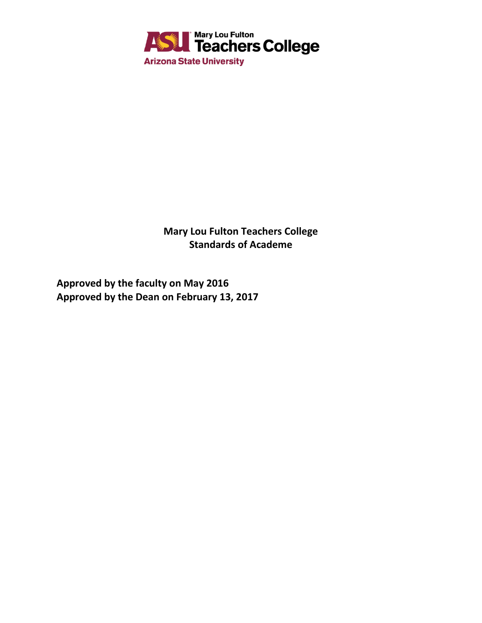

**Mary Lou Fulton Teachers College Standards of Academe**

**Approved by the faculty on May 2016 Approved by the Dean on February 13, 2017**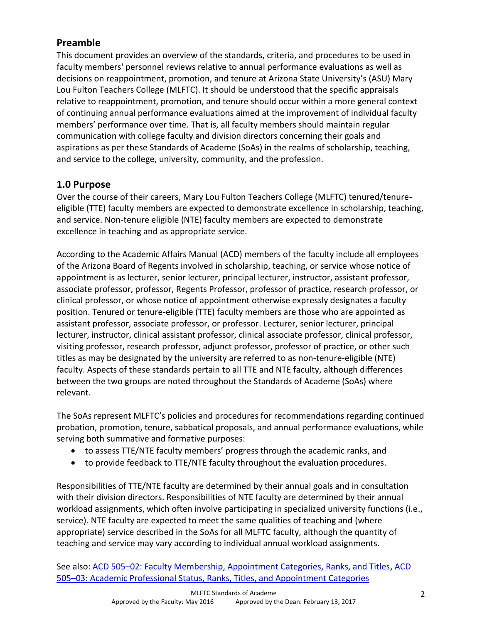# **Preamble**

This document provides an overview of the standards, criteria, and procedures to be used in faculty members' personnel reviews relative to annual performance evaluations as well as decisions on reappointment, promotion, and tenure at Arizona State University's (ASU) Mary Lou Fulton Teachers College (MLFTC). It should be understood that the specific appraisals relative to reappointment, promotion, and tenure should occur within a more general context of continuing annual performance evaluations aimed at the improvement of individual faculty members' performance over time. That is, all faculty members should maintain regular communication with college faculty and division directors concerning their goals and aspirations as per these Standards of Academe (SoAs) in the realms of scholarship, teaching, and service to the college, university, community, and the profession.

# **1.0 Purpose**

Over the course of their careers, Mary Lou Fulton Teachers College (MLFTC) tenured/tenureeligible (TTE) faculty members are expected to demonstrate excellence in scholarship, teaching, and service. Non-tenure eligible (NTE) faculty members are expected to demonstrate excellence in teaching and as appropriate service.

According to the Academic Affairs Manual (ACD) members of the faculty include all employees of the Arizona Board of Regents involved in scholarship, teaching, or service whose notice of appointment is as lecturer, senior lecturer, principal lecturer, instructor, assistant professor, associate professor, professor, Regents Professor, professor of practice, research professor, or clinical professor, or whose notice of appointment otherwise expressly designates a faculty position. Tenured or tenure-eligible (TTE) faculty members are those who are appointed as assistant professor, associate professor, or professor. Lecturer, senior lecturer, principal lecturer, instructor, clinical assistant professor, clinical associate professor, clinical professor, visiting professor, research professor, adjunct professor, professor of practice, or other such titles as may be designated by the university are referred to as non-tenure-eligible (NTE) faculty. Aspects of these standards pertain to all TTE and NTE faculty, although differences between the two groups are noted throughout the Standards of Academe (SoAs) where relevant.

The SoAs represent MLFTC's policies and procedures for recommendations regarding continued probation, promotion, tenure, sabbatical proposals, and annual performance evaluations, while serving both summative and formative purposes:

- to assess TTE/NTE faculty members' progress through the academic ranks, and
- to provide feedback to TTE/NTE faculty throughout the evaluation procedures.

Responsibilities of TTE/NTE faculty are determined by their annual goals and in consultation with their division directors. Responsibilities of NTE faculty are determined by their annual workload assignments, which often involve participating in specialized university functions (i.e., service). NTE faculty are expected to meet the same qualities of teaching and (where appropriate) service described in the SoAs for all MLFTC faculty, although the quantity of teaching and service may vary according to individual annual workload assignments.

See also: ACD 505–[02: Faculty Membership, Appointment Categories, Ranks, and Titles,](http://www.asu.edu/aad/manuals/acd/acd505-02.html) [ACD](http://www.asu.edu/aad/manuals/acd/acd505-03.html)  505–[03: Academic Professional Status, Ranks, Titles, and Appointment Categories](http://www.asu.edu/aad/manuals/acd/acd505-03.html)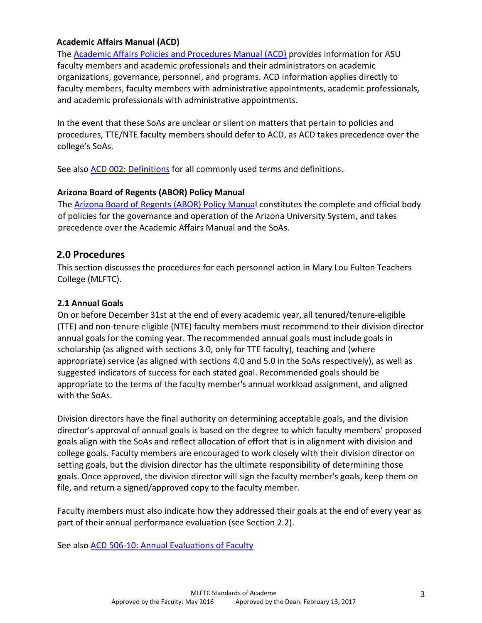#### **Academic Affairs Manual (ACD)**

The [Academic Affairs Policies and Procedures Manual \(ACD\)](http://www.asu.edu/aad/manuals/acd/index.html) provides information for ASU faculty members and academic professionals and their administrators on academic organizations, governance, personnel, and programs. ACD information applies directly to faculty members, faculty members with administrative appointments, academic professionals, and academic professionals with administrative appointments.

In the event that these SoAs are unclear or silent on matters that pertain to policies and procedures, TTE/NTE faculty members should defer to ACD, as ACD takes precedence over the college's SoAs.

See also [ACD 002: Definitions](https://www.asu.edu/aad/manuals/acd/acd002.html) for all commonly used terms and definitions.

### **Arizona Board of Regents (ABOR) Policy Manual**

The [Arizona Board of Regents \(ABOR\) Policy Manual](https://www.azregents.edu/board-committees/policy-manual) constitutes the complete and official body of policies for the governance and operation of the Arizona University System, and takes precedence over the Academic Affairs Manual and the SoAs.

## **2.0 Procedures**

This section discusses the procedures for each personnel action in Mary Lou Fulton Teachers College (MLFTC).

#### **2.1 Annual Goals**

On or before December 31st at the end of every academic year, all tenured/tenure-eligible (TTE) and non-tenure eligible (NTE) faculty members must recommend to their division director annual goals for the coming year. The recommended annual goals must include goals in scholarship (as aligned with sections 3.0, only for TTE faculty), teaching and (where appropriate) service (as aligned with sections 4.0 and 5.0 in the SoAs respectively), as well as suggested indicators of success for each stated goal. Recommended goals should be appropriate to the terms of the faculty member's annual workload assignment, and aligned with the SoAs.

Division directors have the final authority on determining acceptable goals, and the division director's approval of annual goals is based on the degree to which faculty members' proposed goals align with the SoAs and reflect allocation of effort that is in alignment with division and college goals. Faculty members are encouraged to work closely with their division director on setting goals, but the division director has the ultimate responsibility of determining those goals. Once approved, the division director will sign the faculty member's goals, keep them on file, and return a signed/approved copy to the faculty member.

Faculty members must also indicate how they addressed their goals at the end of every year as part of their annual performance evaluation (see Section 2.2).

See also [ACD 506-10: Annual Evaluations of Faculty](http://www.asu.edu/aad/manuals/acd/acd506-10.html)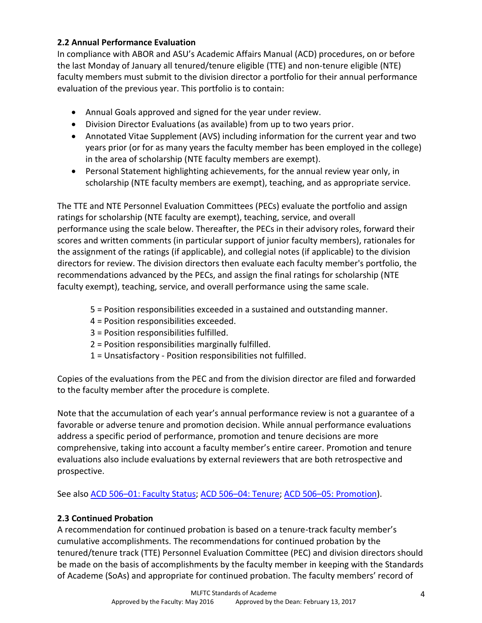## **2.2 Annual Performance Evaluation**

In compliance with ABOR and ASU's Academic Affairs Manual (ACD) procedures, on or before the last Monday of January all tenured/tenure eligible (TTE) and non-tenure eligible (NTE) faculty members must submit to the division director a portfolio for their annual performance evaluation of the previous year. This portfolio is to contain:

- Annual Goals approved and signed for the year under review.
- Division Director Evaluations (as available) from up to two years prior.
- Annotated Vitae Supplement (AVS) including information for the current year and two years prior (or for as many years the faculty member has been employed in the college) in the area of scholarship (NTE faculty members are exempt).
- Personal Statement highlighting achievements, for the annual review year only, in scholarship (NTE faculty members are exempt), teaching, and as appropriate service.

The TTE and NTE Personnel Evaluation Committees (PECs) evaluate the portfolio and assign ratings for scholarship (NTE faculty are exempt), teaching, service, and overall performance using the scale below. Thereafter, the PECs in their advisory roles, forward their scores and written comments (in particular support of junior faculty members), rationales for the assignment of the ratings (if applicable), and collegial notes (if applicable) to the division directors for review. The division directors then evaluate each faculty member's portfolio, the recommendations advanced by the PECs, and assign the final ratings for scholarship (NTE faculty exempt), teaching, service, and overall performance using the same scale.

- 5 = Position responsibilities exceeded in a sustained and outstanding manner.
- 4 = Position responsibilities exceeded.
- 3 = Position responsibilities fulfilled.
- 2 = Position responsibilities marginally fulfilled.
- 1 = Unsatisfactory Position responsibilities not fulfilled.

Copies of the evaluations from the PEC and from the division director are filed and forwarded to the faculty member after the procedure is complete.

Note that the accumulation of each year's annual performance review is not a guarantee of a favorable or adverse tenure and promotion decision. While annual performance evaluations address a specific period of performance, promotion and tenure decisions are more comprehensive, taking into account a faculty member's entire career. Promotion and tenure evaluations also include evaluations by external reviewers that are both retrospective and prospective.

See also ACD 506–[01: Faculty Status;](http://www.asu.edu/aad/manuals/policyarchives/ACD/July2003/acd506-01.html) ACD 506–[04: Tenure;](http://www.asu.edu/aad/manuals/acd/acd506-04.html) ACD 506–[05: Promotion\)](http://www.asu.edu/aad/manuals/policyarchives/ACD/Mar2008/acd506-05.html).

## **2.3 Continued Probation**

A recommendation for continued probation is based on a tenure-track faculty member's cumulative accomplishments. The recommendations for continued probation by the tenured/tenure track (TTE) Personnel Evaluation Committee (PEC) and division directors should be made on the basis of accomplishments by the faculty member in keeping with the Standards of Academe (SoAs) and appropriate for continued probation. The faculty members' record of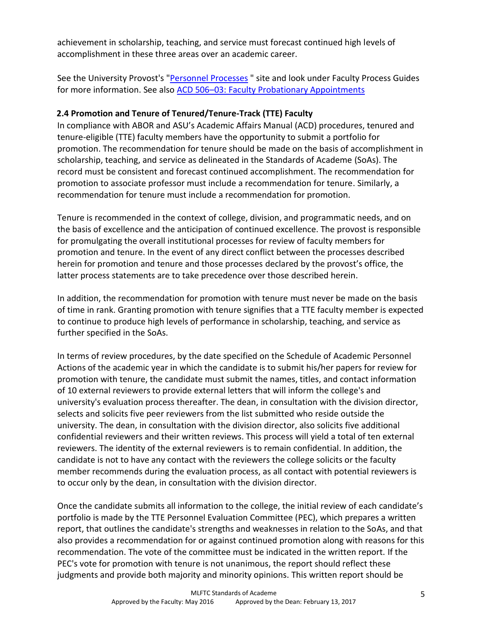achievement in scholarship, teaching, and service must forecast continued high levels of accomplishment in these three areas over an academic career.

See the University Provost's ["Personnel Processes](https://provost.asu.edu/academic-personnel/personnel-processes) " site and look under Faculty Process Guides for more information. See also ACD 506–[03: Faculty Probationary Appointments](http://www.asu.edu/aad/manuals/acd/acd506-03.html)

### **2.4 Promotion and Tenure of Tenured/Tenure-Track (TTE) Faculty**

In compliance with ABOR and ASU's Academic Affairs Manual (ACD) procedures, tenured and tenure-eligible (TTE) faculty members have the opportunity to submit a portfolio for promotion. The recommendation for tenure should be made on the basis of accomplishment in scholarship, teaching, and service as delineated in the Standards of Academe (SoAs). The record must be consistent and forecast continued accomplishment. The recommendation for promotion to associate professor must include a recommendation for tenure. Similarly, a recommendation for tenure must include a recommendation for promotion.

Tenure is recommended in the context of college, division, and programmatic needs, and on the basis of excellence and the anticipation of continued excellence. The provost is responsible for promulgating the overall institutional processes for review of faculty members for promotion and tenure. In the event of any direct conflict between the processes described herein for promotion and tenure and those processes declared by the provost's office, the latter process statements are to take precedence over those described herein.

In addition, the recommendation for promotion with tenure must never be made on the basis of time in rank. Granting promotion with tenure signifies that a TTE faculty member is expected to continue to produce high levels of performance in scholarship, teaching, and service as further specified in the SoAs.

In terms of review procedures, by the date specified on the Schedule of Academic Personnel Actions of the academic year in which the candidate is to submit his/her papers for review for promotion with tenure, the candidate must submit the names, titles, and contact information of 10 external reviewers to provide external letters that will inform the college's and university's evaluation process thereafter. The dean, in consultation with the division director, selects and solicits five peer reviewers from the list submitted who reside outside the university. The dean, in consultation with the division director, also solicits five additional confidential reviewers and their written reviews. This process will yield a total of ten external reviewers. The identity of the external reviewers is to remain confidential. In addition, the candidate is not to have any contact with the reviewers the college solicits or the faculty member recommends during the evaluation process, as all contact with potential reviewers is to occur only by the dean, in consultation with the division director.

Once the candidate submits all information to the college, the initial review of each candidate's portfolio is made by the TTE Personnel Evaluation Committee (PEC), which prepares a written report, that outlines the candidate's strengths and weaknesses in relation to the SoAs, and that also provides a recommendation for or against continued promotion along with reasons for this recommendation. The vote of the committee must be indicated in the written report. If the PEC's vote for promotion with tenure is not unanimous, the report should reflect these judgments and provide both majority and minority opinions. This written report should be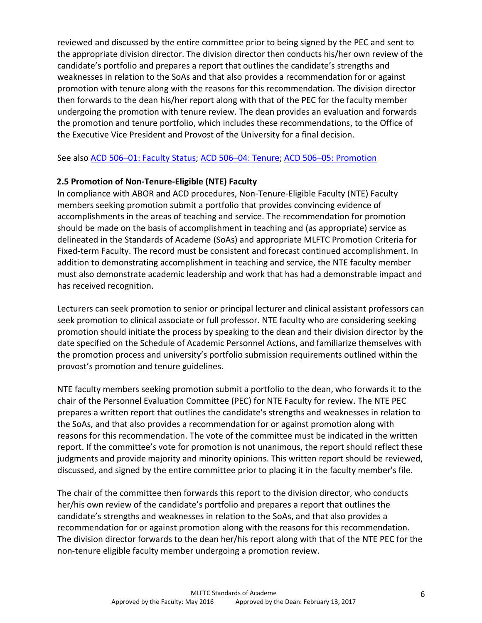reviewed and discussed by the entire committee prior to being signed by the PEC and sent to the appropriate division director. The division director then conducts his/her own review of the candidate's portfolio and prepares a report that outlines the candidate's strengths and weaknesses in relation to the SoAs and that also provides a recommendation for or against promotion with tenure along with the reasons for this recommendation. The division director then forwards to the dean his/her report along with that of the PEC for the faculty member undergoing the promotion with tenure review. The dean provides an evaluation and forwards the promotion and tenure portfolio, which includes these recommendations, to the Office of the Executive Vice President and Provost of the University for a final decision.

See also ACD 506–[01: Faculty Status;](http://www.asu.edu/aad/manuals/policyarchives/ACD/July2003/acd506-01.html) ACD 506–[04: Tenure;](http://www.asu.edu/aad/manuals/acd/acd506-04.html) ACD 506–[05: Promotion](http://www.asu.edu/aad/manuals/policyarchives/ACD/Mar2008/acd506-05.html)

## **2.5 Promotion of Non-Tenure-Eligible (NTE) Faculty**

In compliance with ABOR and ACD procedures, Non-Tenure-Eligible Faculty (NTE) Faculty members seeking promotion submit a portfolio that provides convincing evidence of accomplishments in the areas of teaching and service. The recommendation for promotion should be made on the basis of accomplishment in teaching and (as appropriate) service as delineated in the Standards of Academe (SoAs) and appropriate MLFTC Promotion Criteria for Fixed-term Faculty. The record must be consistent and forecast continued accomplishment. In addition to demonstrating accomplishment in teaching and service, the NTE faculty member must also demonstrate academic leadership and work that has had a demonstrable impact and has received recognition.

Lecturers can seek promotion to senior or principal lecturer and clinical assistant professors can seek promotion to clinical associate or full professor. NTE faculty who are considering seeking promotion should initiate the process by speaking to the dean and their division director by the date specified on the Schedule of Academic Personnel Actions, and familiarize themselves with the promotion process and university's portfolio submission requirements outlined within the provost's promotion and tenure guidelines.

NTE faculty members seeking promotion submit a portfolio to the dean, who forwards it to the chair of the Personnel Evaluation Committee (PEC) for NTE Faculty for review. The NTE PEC prepares a written report that outlines the candidate's strengths and weaknesses in relation to the SoAs, and that also provides a recommendation for or against promotion along with reasons for this recommendation. The vote of the committee must be indicated in the written report. If the committee's vote for promotion is not unanimous, the report should reflect these judgments and provide majority and minority opinions. This written report should be reviewed, discussed, and signed by the entire committee prior to placing it in the faculty member's file.

The chair of the committee then forwards this report to the division director, who conducts her/his own review of the candidate's portfolio and prepares a report that outlines the candidate's strengths and weaknesses in relation to the SoAs, and that also provides a recommendation for or against promotion along with the reasons for this recommendation. The division director forwards to the dean her/his report along with that of the NTE PEC for the non-tenure eligible faculty member undergoing a promotion review.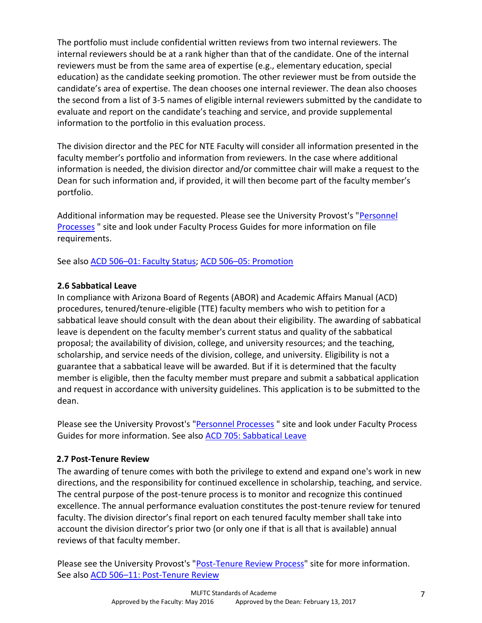The portfolio must include confidential written reviews from two internal reviewers. The internal reviewers should be at a rank higher than that of the candidate. One of the internal reviewers must be from the same area of expertise (e.g., elementary education, special education) as the candidate seeking promotion. The other reviewer must be from outside the candidate's area of expertise. The dean chooses one internal reviewer. The dean also chooses the second from a list of 3-5 names of eligible internal reviewers submitted by the candidate to evaluate and report on the candidate's teaching and service, and provide supplemental information to the portfolio in this evaluation process.

The division director and the PEC for NTE Faculty will consider all information presented in the faculty member's portfolio and information from reviewers. In the case where additional information is needed, the division director and/or committee chair will make a request to the Dean for such information and, if provided, it will then become part of the faculty member's portfolio.

Additional information may be requested. Please see the University Provost's ["Personnel](https://provost.asu.edu/academic-personnel/personnel-processes)  **[Processes](https://provost.asu.edu/academic-personnel/personnel-processes)** " site and look under Faculty Process Guides for more information on file requirements.

See also ACD 506–01: [Faculty Status;](http://www.asu.edu/aad/manuals/policyarchives/ACD/July2003/acd506-01.html) ACD 506–[05: Promotion](http://www.asu.edu/aad/manuals/policyarchives/ACD/Mar2008/acd506-05.html)

## **2.6 Sabbatical Leave**

In compliance with Arizona Board of Regents (ABOR) and Academic Affairs Manual (ACD) procedures, tenured/tenure-eligible (TTE) faculty members who wish to petition for a sabbatical leave should consult with the dean about their eligibility. The awarding of sabbatical leave is dependent on the faculty member's current status and quality of the sabbatical proposal; the availability of division, college, and university resources; and the teaching, scholarship, and service needs of the division, college, and university. Eligibility is not a guarantee that a sabbatical leave will be awarded. But if it is determined that the faculty member is eligible, then the faculty member must prepare and submit a sabbatical application and request in accordance with university guidelines. This application is to be submitted to the dean.

Please see the University Provost's ["Personnel Processes](https://provost.asu.edu/academic-personnel/personnel-processes)" site and look under Faculty Process Guides for more information. See also [ACD 705: Sabbatical Leave](https://www.asu.edu/aad/manuals/acd/acd705.html)

# **2.7 Post-Tenure Review**

The awarding of tenure comes with both the privilege to extend and expand one's work in new directions, and the responsibility for continued excellence in scholarship, teaching, and service. The central purpose of the post-tenure process is to monitor and recognize this continued excellence. The annual performance evaluation constitutes the post-tenure review for tenured faculty. The division director's final report on each tenured faculty member shall take into account the division director's prior two (or only one if that is all that is available) annual reviews of that faculty member.

Please see the University Provost's ["Post-Tenure Review Process"](https://provost.asu.edu/policies/procedures/p7.html) site for more information. See also ACD 506-[11: Post-Tenure Review](https://www.asu.edu/aad/manuals/acd/acd506-11.html)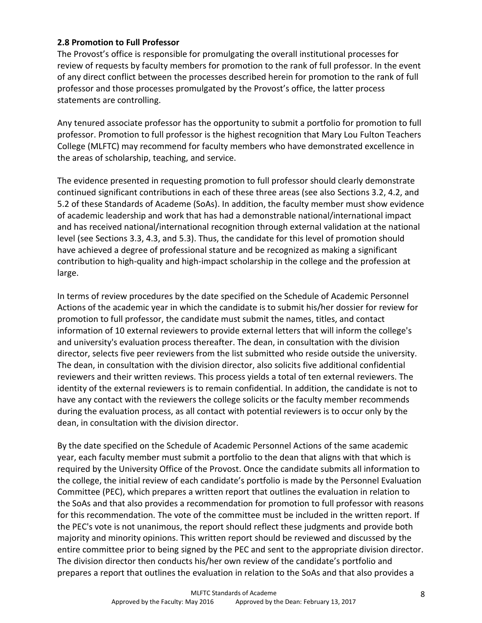#### **2.8 Promotion to Full Professor**

The Provost's office is responsible for promulgating the overall institutional processes for review of requests by faculty members for promotion to the rank of full professor. In the event of any direct conflict between the processes described herein for promotion to the rank of full professor and those processes promulgated by the Provost's office, the latter process statements are controlling.

Any tenured associate professor has the opportunity to submit a portfolio for promotion to full professor. Promotion to full professor is the highest recognition that Mary Lou Fulton Teachers College (MLFTC) may recommend for faculty members who have demonstrated excellence in the areas of scholarship, teaching, and service.

The evidence presented in requesting promotion to full professor should clearly demonstrate continued significant contributions in each of these three areas (see also Sections 3.2, 4.2, and 5.2 of these Standards of Academe (SoAs). In addition, the faculty member must show evidence of academic leadership and work that has had a demonstrable national/international impact and has received national/international recognition through external validation at the national level (see Sections 3.3, 4.3, and 5.3). Thus, the candidate for this level of promotion should have achieved a degree of professional stature and be recognized as making a significant contribution to high-quality and high-impact scholarship in the college and the profession at large.

In terms of review procedures by the date specified on the Schedule of Academic Personnel Actions of the academic year in which the candidate is to submit his/her dossier for review for promotion to full professor, the candidate must submit the names, titles, and contact information of 10 external reviewers to provide external letters that will inform the college's and university's evaluation process thereafter. The dean, in consultation with the division director, selects five peer reviewers from the list submitted who reside outside the university. The dean, in consultation with the division director, also solicits five additional confidential reviewers and their written reviews. This process yields a total of ten external reviewers. The identity of the external reviewers is to remain confidential. In addition, the candidate is not to have any contact with the reviewers the college solicits or the faculty member recommends during the evaluation process, as all contact with potential reviewers is to occur only by the dean, in consultation with the division director.

By the date specified on the Schedule of Academic Personnel Actions of the same academic year, each faculty member must submit a portfolio to the dean that aligns with that which is required by the University Office of the Provost. Once the candidate submits all information to the college, the initial review of each candidate's portfolio is made by the Personnel Evaluation Committee (PEC), which prepares a written report that outlines the evaluation in relation to the SoAs and that also provides a recommendation for promotion to full professor with reasons for this recommendation. The vote of the committee must be included in the written report. If the PEC's vote is not unanimous, the report should reflect these judgments and provide both majority and minority opinions. This written report should be reviewed and discussed by the entire committee prior to being signed by the PEC and sent to the appropriate division director. The division director then conducts his/her own review of the candidate's portfolio and prepares a report that outlines the evaluation in relation to the SoAs and that also provides a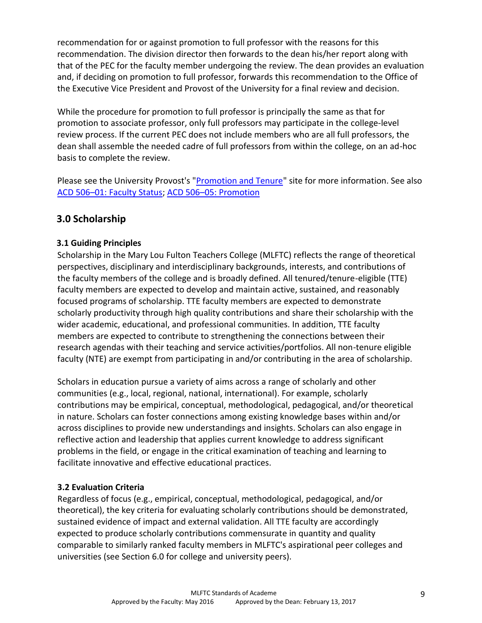recommendation for or against promotion to full professor with the reasons for this recommendation. The division director then forwards to the dean his/her report along with that of the PEC for the faculty member undergoing the review. The dean provides an evaluation and, if deciding on promotion to full professor, forwards this recommendation to the Office of the Executive Vice President and Provost of the University for a final review and decision.

While the procedure for promotion to full professor is principally the same as that for promotion to associate professor, only full professors may participate in the college-level review process. If the current PEC does not include members who are all full professors, the dean shall assemble the needed cadre of full professors from within the college, on an ad-hoc basis to complete the review.

Please see the University Provost's ["Promotion and Tenure"](https://provost.asu.edu/promotion_tenure) site for more information. See also ACD 506–[01: Faculty Status;](http://www.asu.edu/aad/manuals/policyarchives/ACD/July2003/acd506-01.html) ACD 506–[05: Promotion](http://www.asu.edu/aad/manuals/policyarchives/ACD/Mar2008/acd506-05.html)

# **3.0 Scholarship**

## **3.1 Guiding Principles**

Scholarship in the Mary Lou Fulton Teachers College (MLFTC) reflects the range of theoretical perspectives, disciplinary and interdisciplinary backgrounds, interests, and contributions of the faculty members of the college and is broadly defined. All tenured/tenure-eligible (TTE) faculty members are expected to develop and maintain active, sustained, and reasonably focused programs of scholarship. TTE faculty members are expected to demonstrate scholarly productivity through high quality contributions and share their scholarship with the wider academic, educational, and professional communities. In addition, TTE faculty members are expected to contribute to strengthening the connections between their research agendas with their teaching and service activities/portfolios. All non-tenure eligible faculty (NTE) are exempt from participating in and/or contributing in the area of scholarship.

Scholars in education pursue a variety of aims across a range of scholarly and other communities (e.g., local, regional, national, international). For example, scholarly contributions may be empirical, conceptual, methodological, pedagogical, and/or theoretical in nature. Scholars can foster connections among existing knowledge bases within and/or across disciplines to provide new understandings and insights. Scholars can also engage in reflective action and leadership that applies current knowledge to address significant problems in the field, or engage in the critical examination of teaching and learning to facilitate innovative and effective educational practices.

## **3.2 Evaluation Criteria**

Regardless of focus (e.g., empirical, conceptual, methodological, pedagogical, and/or theoretical), the key criteria for evaluating scholarly contributions should be demonstrated, sustained evidence of impact and external validation. All TTE faculty are accordingly expected to produce scholarly contributions commensurate in quantity and quality comparable to similarly ranked faculty members in MLFTC's aspirational peer colleges and universities (see [S](https://sites.google.com/site/mlftcsoarevision/7-0-aspirational-peers)ection 6.0 for college and university peers).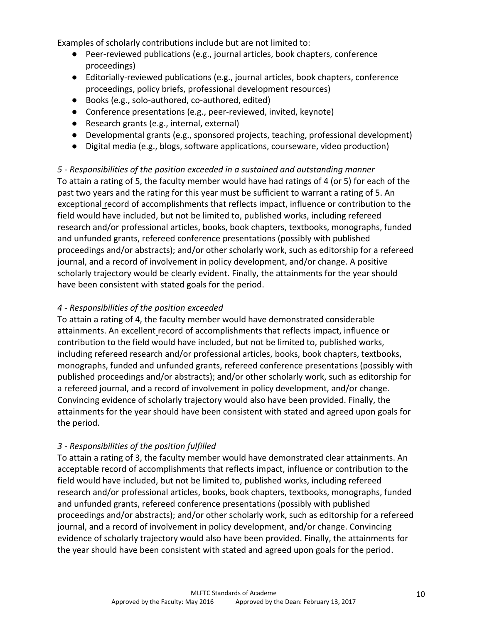Examples of scholarly contributions include but are not limited to:

- Peer-reviewed publications (e.g., journal articles, book chapters, conference proceedings)
- Editorially-reviewed publications (e.g., journal articles, book chapters, conference proceedings, policy briefs, professional development resources)
- Books (e.g., solo-authored, co-authored, edited)
- Conference presentations (e.g., peer-reviewed, invited, keynote)
- Research grants (e.g., internal, external)
- Developmental grants (e.g., sponsored projects, teaching, professional development)
- Digital media (e.g., blogs, software applications, courseware, video production)

*5 - Responsibilities of the position exceeded in a sustained and outstanding manner* To attain a rating of 5, the faculty member would have had ratings of 4 (or 5) for each of the past two years and the rating for this year must be sufficient to warrant a rating of 5. An exceptional record of accomplishments that reflects impact, influence or contribution to the field would have included, but not be limited to, published works, including refereed research and/or professional articles, books, book chapters, textbooks, monographs, funded and unfunded grants, refereed conference presentations (possibly with published proceedings and/or abstracts); and/or other scholarly work, such as editorship for a refereed journal, and a record of involvement in policy development, and/or change. A positive scholarly trajectory would be clearly evident. Finally, the attainments for the year should have been consistent with stated goals for the period.

### *4 - Responsibilities of the position exceeded*

To attain a rating of 4, the faculty member would have demonstrated considerable attainments. An excellent record of accomplishments that reflects impact, influence or contribution to the field would have included, but not be limited to, published works, including refereed research and/or professional articles, books, book chapters, textbooks, monographs, funded and unfunded grants, refereed conference presentations (possibly with published proceedings and/or abstracts); and/or other scholarly work, such as editorship for a refereed journal, and a record of involvement in policy development, and/or change. Convincing evidence of scholarly trajectory would also have been provided. Finally, the attainments for the year should have been consistent with stated and agreed upon goals for the period.

### *3 - Responsibilities of the position fulfilled*

To attain a rating of 3, the faculty member would have demonstrated clear attainments. An acceptable record of accomplishments that reflects impact, influence or contribution to the field would have included, but not be limited to, published works, including refereed research and/or professional articles, books, book chapters, textbooks, monographs, funded and unfunded grants, refereed conference presentations (possibly with published proceedings and/or abstracts); and/or other scholarly work, such as editorship for a refereed journal, and a record of involvement in policy development, and/or change. Convincing evidence of scholarly trajectory would also have been provided. Finally, the attainments for the year should have been consistent with stated and agreed upon goals for the period.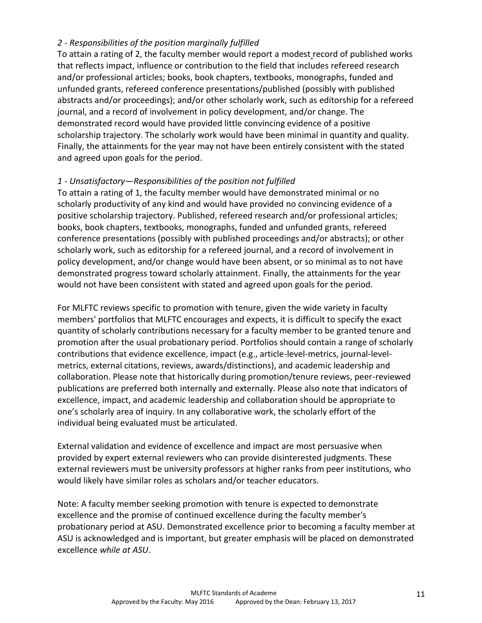### *2 - Responsibilities of the position marginally fulfilled*

To attain a rating of 2, the faculty member would report a modest record of published works that reflects impact, influence or contribution to the field that includes refereed research and/or professional articles; books, book chapters, textbooks, monographs, funded and unfunded grants, refereed conference presentations/published (possibly with published abstracts and/or proceedings); and/or other scholarly work, such as editorship for a refereed journal, and a record of involvement in policy development, and/or change. The demonstrated record would have provided little convincing evidence of a positive scholarship trajectory. The scholarly work would have been minimal in quantity and quality. Finally, the attainments for the year may not have been entirely consistent with the stated and agreed upon goals for the period.

## *1 - Unsatisfactory—Responsibilities of the position not fulfilled*

To attain a rating of 1, the faculty member would have demonstrated minimal or no scholarly productivity of any kind and would have provided no convincing evidence of a positive scholarship trajectory. Published, refereed research and/or professional articles; books, book chapters, textbooks, monographs, funded and unfunded grants, refereed conference presentations (possibly with published proceedings and/or abstracts); or other scholarly work, such as editorship for a refereed journal, and a record of involvement in policy development, and/or change would have been absent, or so minimal as to not have demonstrated progress toward scholarly attainment. Finally, the attainments for the year would not have been consistent with stated and agreed upon goals for the period.

For MLFTC reviews specific to promotion with tenure, given the wide variety in faculty members' portfolios that MLFTC encourages and expects, it is difficult to specify the exact quantity of scholarly contributions necessary for a faculty member to be granted tenure and promotion after the usual probationary period. Portfolios should contain a range of scholarly contributions that evidence excellence, impact (e.g., article-level-metrics, journal-levelmetrics, external citations, reviews, awards/distinctions), and academic leadership and collaboration. Please note that historically during promotion/tenure reviews, peer-reviewed publications are preferred both internally and externally. Please also note that indicators of excellence, impact, and academic leadership and collaboration should be appropriate to one's scholarly area of inquiry. In any collaborative work, the scholarly effort of the individual being evaluated must be articulated.

External validation and evidence of excellence and impact are most persuasive when provided by expert external reviewers who can provide disinterested judgments. These external reviewers must be university professors at higher ranks from peer institutions, who would likely have similar roles as scholars and/or teacher educators.

Note: A faculty member seeking promotion with tenure is expected to demonstrate excellence and the promise of continued excellence during the faculty member's probationary period at ASU. Demonstrated excellence prior to becoming a faculty member at ASU is acknowledged and is important, but greater emphasis will be placed on demonstrated excellence *while at ASU*.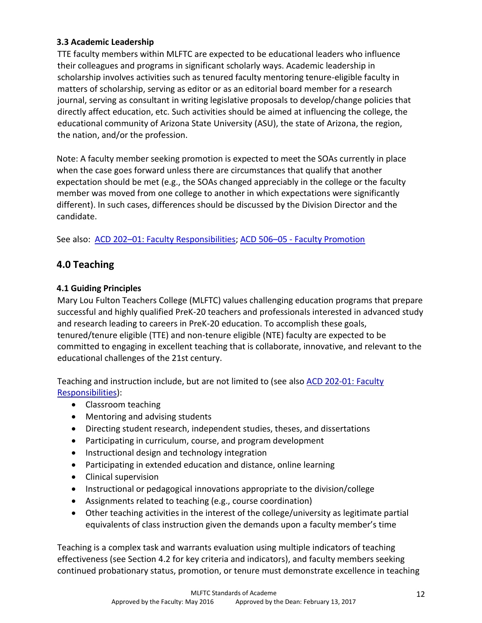## **3.3 Academic Leadership**

TTE faculty members within MLFTC are expected to be educational leaders who influence their colleagues and programs in significant scholarly ways. Academic leadership in scholarship involves activities such as tenured faculty mentoring tenure-eligible faculty in matters of scholarship, serving as editor or as an editorial board member for a research journal, serving as consultant in writing legislative proposals to develop/change policies that directly affect education, etc. Such activities should be aimed at influencing the college, the educational community of Arizona State University (ASU), the state of Arizona, the region, the nation, and/or the profession.

Note: A faculty member seeking promotion is expected to meet the SOAs currently in place when the case goes forward unless there are circumstances that qualify that another expectation should be met (e.g., the SOAs changed appreciably in the college or the faculty member was moved from one college to another in which expectations were significantly different). In such cases, differences should be discussed by the Division Director and the candidate.

See also: ACD 202-[01: Faculty Responsibilities;](https://www.asu.edu/aad/manuals/acd/acd202-01.html) ACD 506-05 - Faculty Promotion

# **4.0 Teaching**

## **4.1 Guiding Principles**

Mary Lou Fulton Teachers College (MLFTC) values challenging education programs that prepare successful and highly qualified PreK-20 teachers and professionals interested in advanced study and research leading to careers in PreK-20 education. To accomplish these goals, tenured/tenure eligible (TTE) and non-tenure eligible (NTE) faculty are expected to be committed to engaging in excellent teaching that is collaborate, innovative, and relevant to the educational challenges of the 21st century.

Teaching and instruction include, but are not limited to (see also [ACD 202-01: Faculty](https://www.asu.edu/aad/manuals/acd/acd202-01.html)  [Responsibilities\)](https://www.asu.edu/aad/manuals/acd/acd202-01.html):

- Classroom teaching
- Mentoring and advising students
- Directing student research, independent studies, theses, and dissertations
- Participating in curriculum, course, and program development
- Instructional design and technology integration
- Participating in extended education and distance, online learning
- Clinical supervision
- Instructional or pedagogical innovations appropriate to the division/college
- Assignments related to teaching (e.g., course coordination)
- Other teaching activities in the interest of the college/university as legitimate partial equivalents of class instruction given the demands upon a faculty member's time

Teaching is a complex task and warrants evaluation using multiple indicators of teaching effectiveness (see Section 4.2 for key criteria and indicators), and faculty members seeking continued probationary status, promotion, or tenure must demonstrate excellence in teaching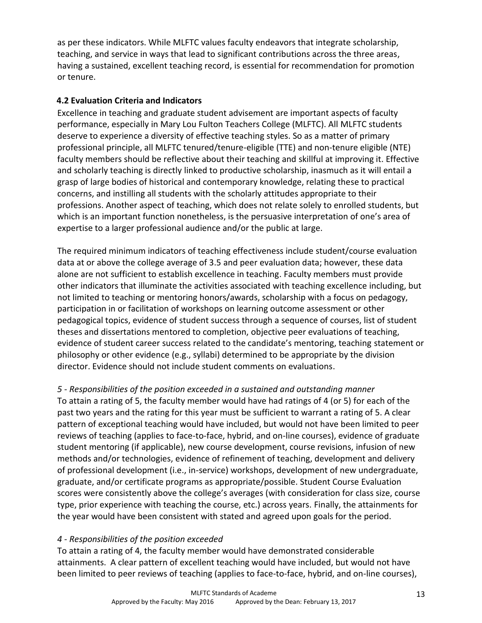as per these indicators. While MLFTC values faculty endeavors that integrate scholarship, teaching, and service in ways that lead to significant contributions across the three areas, having a sustained, excellent teaching record, is essential for recommendation for promotion or tenure.

## **4.2 Evaluation Criteria and Indicators**

Excellence in teaching and graduate student advisement are important aspects of faculty performance, especially in Mary Lou Fulton Teachers College (MLFTC). All MLFTC students deserve to experience a diversity of effective teaching styles. So as a matter of primary professional principle, all MLFTC tenured/tenure-eligible (TTE) and non-tenure eligible (NTE) faculty members should be reflective about their teaching and skillful at improving it. Effective and scholarly teaching is directly linked to productive scholarship, inasmuch as it will entail a grasp of large bodies of historical and contemporary knowledge, relating these to practical concerns, and instilling all students with the scholarly attitudes appropriate to their professions. Another aspect of teaching, which does not relate solely to enrolled students, but which is an important function nonetheless, is the persuasive interpretation of one's area of expertise to a larger professional audience and/or the public at large.

The required minimum indicators of teaching effectiveness include student/course evaluation data at or above the college average of 3.5 and peer evaluation data; however, these data alone are not sufficient to establish excellence in teaching. Faculty members must provide other indicators that illuminate the activities associated with teaching excellence including, but not limited to teaching or mentoring honors/awards, scholarship with a focus on pedagogy, participation in or facilitation of workshops on learning outcome assessment or other pedagogical topics, evidence of student success through a sequence of courses, list of student theses and dissertations mentored to completion, objective peer evaluations of teaching, evidence of student career success related to the candidate's mentoring, teaching statement or philosophy or other evidence (e.g., syllabi) determined to be appropriate by the division director. Evidence should not include student comments on evaluations.

*5 - Responsibilities of the position exceeded in a sustained and outstanding manner*

To attain a rating of 5, the faculty member would have had ratings of 4 (or 5) for each of the past two years and the rating for this year must be sufficient to warrant a rating of 5. A clear pattern of exceptional teaching would have included, but would not have been limited to peer reviews of teaching (applies to face-to-face, hybrid, and on-line courses), evidence of graduate student mentoring (if applicable), new course development, course revisions, infusion of new methods and/or technologies, evidence of refinement of teaching, development and delivery of professional development (i.e., in-service) workshops, development of new undergraduate, graduate, and/or certificate programs as appropriate/possible. Student Course Evaluation scores were consistently above the college's averages (with consideration for class size, course type, prior experience with teaching the course, etc.) across years. Finally, the attainments for the year would have been consistent with stated and agreed upon goals for the period.

### *4 - Responsibilities of the position exceeded*

To attain a rating of 4, the faculty member would have demonstrated considerable attainments. A clear pattern of excellent teaching would have included, but would not have been limited to peer reviews of teaching (applies to face-to-face, hybrid, and on-line courses),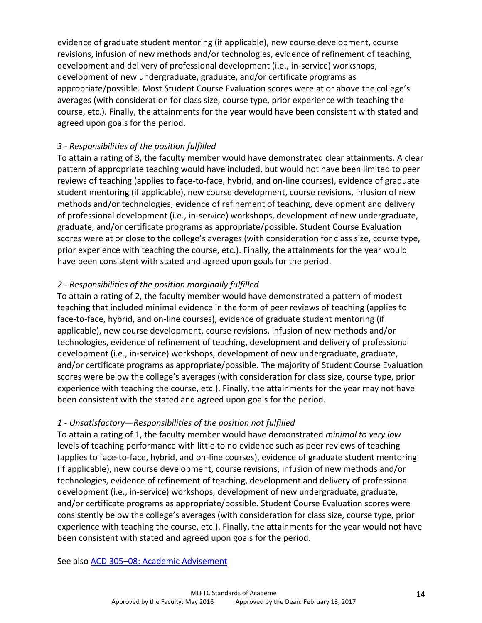evidence of graduate student mentoring (if applicable), new course development, course revisions, infusion of new methods and/or technologies, evidence of refinement of teaching, development and delivery of professional development (i.e., in-service) workshops, development of new undergraduate, graduate, and/or certificate programs as appropriate/possible. Most Student Course Evaluation scores were at or above the college's averages (with consideration for class size, course type, prior experience with teaching the course, etc.). Finally, the attainments for the year would have been consistent with stated and agreed upon goals for the period.

## *3 - Responsibilities of the position fulfilled*

To attain a rating of 3, the faculty member would have demonstrated clear attainments. A clear pattern of appropriate teaching would have included, but would not have been limited to peer reviews of teaching (applies to face-to-face, hybrid, and on-line courses), evidence of graduate student mentoring (if applicable), new course development, course revisions, infusion of new methods and/or technologies, evidence of refinement of teaching, development and delivery of professional development (i.e., in-service) workshops, development of new undergraduate, graduate, and/or certificate programs as appropriate/possible. Student Course Evaluation scores were at or close to the college's averages (with consideration for class size, course type, prior experience with teaching the course, etc.). Finally, the attainments for the year would have been consistent with stated and agreed upon goals for the period.

## *2 - Responsibilities of the position marginally fulfilled*

To attain a rating of 2, the faculty member would have demonstrated a pattern of modest teaching that included minimal evidence in the form of peer reviews of teaching (applies to face-to-face, hybrid, and on-line courses), evidence of graduate student mentoring (if applicable), new course development, course revisions, infusion of new methods and/or technologies, evidence of refinement of teaching, development and delivery of professional development (i.e., in-service) workshops, development of new undergraduate, graduate, and/or certificate programs as appropriate/possible. The majority of Student Course Evaluation scores were below the college's averages (with consideration for class size, course type, prior experience with teaching the course, etc.). Finally, the attainments for the year may not have been consistent with the stated and agreed upon goals for the period.

### *1 - Unsatisfactory—Responsibilities of the position not fulfilled*

To attain a rating of 1, the faculty member would have demonstrated *minimal to very low* levels of teaching performance with little to no evidence such as peer reviews of teaching (applies to face-to-face, hybrid, and on-line courses), evidence of graduate student mentoring (if applicable), new course development, course revisions, infusion of new methods and/or technologies, evidence of refinement of teaching, development and delivery of professional development (i.e., in-service) workshops, development of new undergraduate, graduate, and/or certificate programs as appropriate/possible. Student Course Evaluation scores were consistently below the college's averages (with consideration for class size, course type, prior experience with teaching the course, etc.). Finally, the attainments for the year would not have been consistent with stated and agreed upon goals for the period.

See also ACD 305–[08: Academic Advisement](http://www.asu.edu/aad/manuals/policyarchives/ACD/Mar2000/acd305-08.html)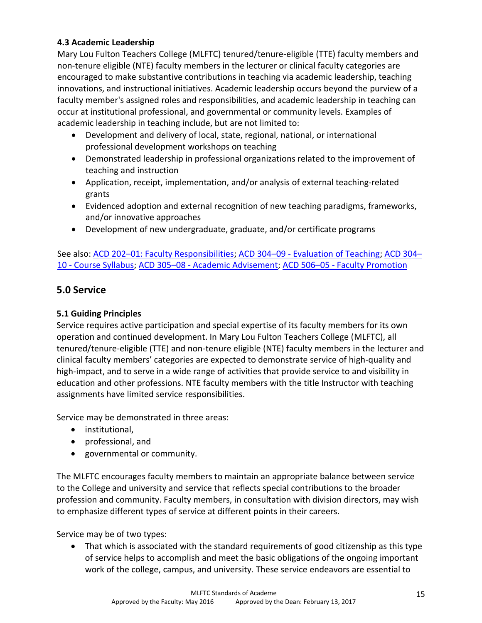## **4.3 Academic Leadership**

Mary Lou Fulton Teachers College (MLFTC) tenured/tenure-eligible (TTE) faculty members and non-tenure eligible (NTE) faculty members in the lecturer or clinical faculty categories are encouraged to make substantive contributions in teaching via academic leadership, teaching innovations, and instructional initiatives. Academic leadership occurs beyond the purview of a faculty member's assigned roles and responsibilities, and academic leadership in teaching can occur at institutional professional, and governmental or community levels. Examples of academic leadership in teaching include, but are not limited to:

- Development and delivery of local, state, regional, national, or international professional development workshops on teaching
- Demonstrated leadership in professional organizations related to the improvement of teaching and instruction
- Application, receipt, implementation, and/or analysis of external teaching-related grants
- Evidenced adoption and external recognition of new teaching paradigms, frameworks, and/or innovative approaches
- Development of new undergraduate, graduate, and/or certificate programs

See also: ACD 202–[01: Faculty Responsibilities;](https://www.asu.edu/aad/manuals/acd/acd202-01.html) ACD 304–09 - [Evaluation of Teaching;](http://www.asu.edu/aad/manuals/policyarchives/ACD/Oct1998/acd304-09.html) [ACD 304](https://www.asu.edu/aad/manuals/acd/acd304-10.html)– 10 - [Course Syllabus;](https://www.asu.edu/aad/manuals/acd/acd304-10.html) ACD 305–08 - [Academic Advisement;](http://www.asu.edu/aad/manuals/acd/acd305-08.html) ACD 506–05 - [Faculty Promotion](https://www.asu.edu/aad/manuals/acd/acd506-05.html)

# **5.0 Service**

## **5.1 Guiding Principles**

Service requires active participation and special expertise of its faculty members for its own operation and continued development. In Mary Lou Fulton Teachers College (MLFTC), all tenured/tenure-eligible (TTE) and non-tenure eligible (NTE) faculty members in the lecturer and clinical faculty members' categories are expected to demonstrate service of high-quality and high-impact, and to serve in a wide range of activities that provide service to and visibility in education and other professions. NTE faculty members with the title Instructor with teaching assignments have limited service responsibilities.

Service may be demonstrated in three areas:

- institutional,
- professional, and
- governmental or community.

The MLFTC encourages faculty members to maintain an appropriate balance between service to the College and university and service that reflects special contributions to the broader profession and community. Faculty members, in consultation with division directors, may wish to emphasize different types of service at different points in their careers.

Service may be of two types:

 That which is associated with the standard requirements of good citizenship as this type of service helps to accomplish and meet the basic obligations of the ongoing important work of the college, campus, and university. These service endeavors are essential to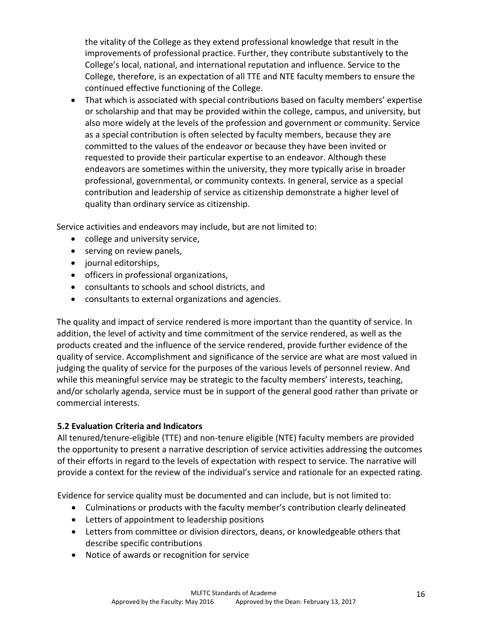the vitality of the College as they extend professional knowledge that result in the improvements of professional practice. Further, they contribute substantively to the College's local, national, and international reputation and influence. Service to the College, therefore, is an expectation of all TTE and NTE faculty members to ensure the continued effective functioning of the College.

 That which is associated with special contributions based on faculty members' expertise or scholarship and that may be provided within the college, campus, and university, but also more widely at the levels of the profession and government or community. Service as a special contribution is often selected by faculty members, because they are committed to the values of the endeavor or because they have been invited or requested to provide their particular expertise to an endeavor. Although these endeavors are sometimes within the university, they more typically arise in broader professional, governmental, or community contexts. In general, service as a special contribution and leadership of service as citizenship demonstrate a higher level of quality than ordinary service as citizenship.

Service activities and endeavors may include, but are not limited to:

- college and university service,
- serving on review panels,
- journal editorships,
- officers in professional organizations,
- consultants to schools and school districts, and
- consultants to external organizations and agencies.

The quality and impact of service rendered is more important than the quantity of service. In addition, the level of activity and time commitment of the service rendered, as well as the products created and the influence of the service rendered, provide further evidence of the quality of service. Accomplishment and significance of the service are what are most valued in judging the quality of service for the purposes of the various levels of personnel review. And while this meaningful service may be strategic to the faculty members' interests, teaching, and/or scholarly agenda, service must be in support of the general good rather than private or commercial interests.

### **5.2 Evaluation Criteria and Indicators**

All tenured/tenure-eligible (TTE) and non-tenure eligible (NTE) faculty members are provided the opportunity to present a narrative description of service activities addressing the outcomes of their efforts in regard to the levels of expectation with respect to service. The narrative will provide a context for the review of the individual's service and rationale for an expected rating.

Evidence for service quality must be documented and can include, but is not limited to:

- Culminations or products with the faculty member's contribution clearly delineated
- Letters of appointment to leadership positions
- Letters from committee or division directors, deans, or knowledgeable others that describe specific contributions
- Notice of awards or recognition for service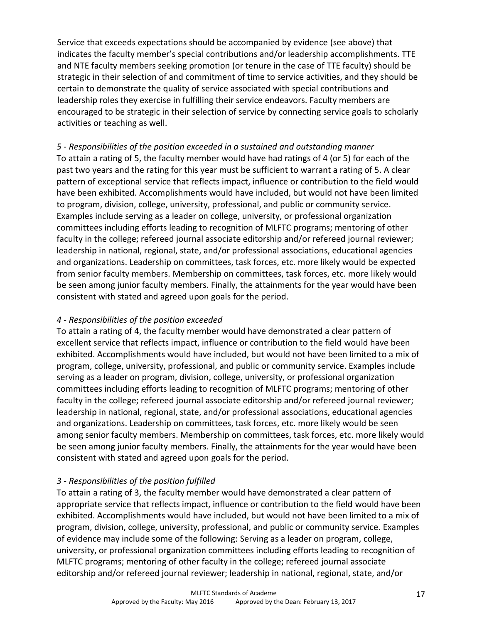Service that exceeds expectations should be accompanied by evidence (see above) that indicates the faculty member's special contributions and/or leadership accomplishments. TTE and NTE faculty members seeking promotion (or tenure in the case of TTE faculty) should be strategic in their selection of and commitment of time to service activities, and they should be certain to demonstrate the quality of service associated with special contributions and leadership roles they exercise in fulfilling their service endeavors. Faculty members are encouraged to be strategic in their selection of service by connecting service goals to scholarly activities or teaching as well.

*5 - Responsibilities of the position exceeded in a sustained and outstanding manner* To attain a rating of 5, the faculty member would have had ratings of 4 (or 5) for each of the past two years and the rating for this year must be sufficient to warrant a rating of 5. A clear pattern of exceptional service that reflects impact, influence or contribution to the field would have been exhibited. Accomplishments would have included, but would not have been limited to program, division, college, university, professional, and public or community service. Examples include serving as a leader on college, university, or professional organization committees including efforts leading to recognition of MLFTC programs; mentoring of other faculty in the college; refereed journal associate editorship and/or refereed journal reviewer; leadership in national, regional, state, and/or professional associations, educational agencies and organizations. Leadership on committees, task forces, etc. more likely would be expected from senior faculty members. Membership on committees, task forces, etc. more likely would be seen among junior faculty members. Finally, the attainments for the year would have been consistent with stated and agreed upon goals for the period.

### *4 - Responsibilities of the position exceeded*

To attain a rating of 4, the faculty member would have demonstrated a clear pattern of excellent service that reflects impact, influence or contribution to the field would have been exhibited. Accomplishments would have included, but would not have been limited to a mix of program, college, university, professional, and public or community service. Examples include serving as a leader on program, division, college, university, or professional organization committees including efforts leading to recognition of MLFTC programs; mentoring of other faculty in the college; refereed journal associate editorship and/or refereed journal reviewer; leadership in national, regional, state, and/or professional associations, educational agencies and organizations. Leadership on committees, task forces, etc. more likely would be seen among senior faculty members. Membership on committees, task forces, etc. more likely would be seen among junior faculty members. Finally, the attainments for the year would have been consistent with stated and agreed upon goals for the period.

### *3 - Responsibilities of the position fulfilled*

To attain a rating of 3, the faculty member would have demonstrated a clear pattern of appropriate service that reflects impact, influence or contribution to the field would have been exhibited. Accomplishments would have included, but would not have been limited to a mix of program, division, college, university, professional, and public or community service. Examples of evidence may include some of the following: Serving as a leader on program, college, university, or professional organization committees including efforts leading to recognition of MLFTC programs; mentoring of other faculty in the college; refereed journal associate editorship and/or refereed journal reviewer; leadership in national, regional, state, and/or